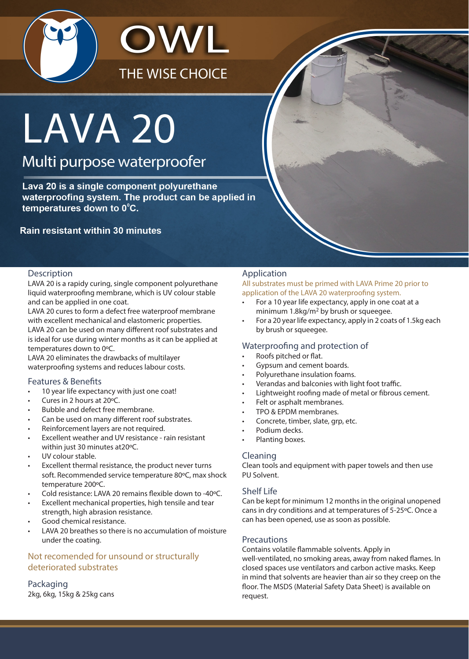

# **LAVA 20**

Multi purpose waterproofer

Lava 20 is a single component polyurethane waterproofing system. The product can be applied in temperatures down to 0°C.

# **Rain resistant within 30 minutes**

#### Description

LAVA 20 is a rapidy curing, single component polyurethane liquid waterproofing membrane, which is UV colour stable and can be applied in one coat.

LAVA 20 cures to form a defect free waterproof membrane with excellent mechanical and elastomeric properties. LAVA 20 can be used on many different roof substrates and is ideal for use during winter months as it can be applied at temperatures down to 0ºC.

LAVA 20 eliminates the drawbacks of multilayer waterproofing systems and reduces labour costs.

#### Features & Benefits

- 10 year life expectancy with just one coat!
- Cures in 2 hours at 20ºC.
- Bubble and defect free membrane.
- Can be used on many different roof substrates.
- Reinforcement layers are not required.
- Excellent weather and UV resistance rain resistant within just 30 minutes at20ºC.
- UV colour stable.
- Excellent thermal resistance, the product never turns soft. Recommended service temperature 80ºC, max shock temperature 200ºC.
- Cold resistance: LAVA 20 remains flexible down to -40ºC.
- Excellent mechanical properties, high tensile and tear strength, high abrasion resistance.
- Good chemical resistance.
- LAVA 20 breathes so there is no accumulation of moisture under the coating.

# Not recomended for unsound or structurally deteriorated substrates

# Packaging

2kg, 6kg, 15kg & 25kg cans

# Application

All substrates must be primed with LAVA Prime 20 prior to application of the LAVA 20 waterproofing system.

- For a 10 year life expectancy, apply in one coat at a minimum 1.8kg/m<sup>2</sup> by brush or squeegee.
- For a 20 year life expectancy, apply in 2 coats of 1.5kg each by brush or squeegee.

#### Waterproofing and protection of

- Roofs pitched or flat.
- Gypsum and cement boards.
- Polyurethane insulation foams.
- Verandas and balconies with light foot traffic.
- Lightweight roofing made of metal or fibrous cement.
- Felt or asphalt membranes.
- TPO & EPDM membranes.
- Concrete, timber, slate, grp, etc.
- Podium decks.
- Planting boxes.

#### Cleaning

Clean tools and equipment with paper towels and then use PU Solvent.

#### Shelf Life

Can be kept for minimum 12 months in the original unopened cans in dry conditions and at temperatures of 5-25ºC. Once a can has been opened, use as soon as possible.

#### **Precautions**

Contains volatile flammable solvents. Apply in well-ventilated, no smoking areas, away from naked flames. In closed spaces use ventilators and carbon active masks. Keep in mind that solvents are heavier than air so they creep on the floor. The MSDS (Material Safety Data Sheet) is available on request.